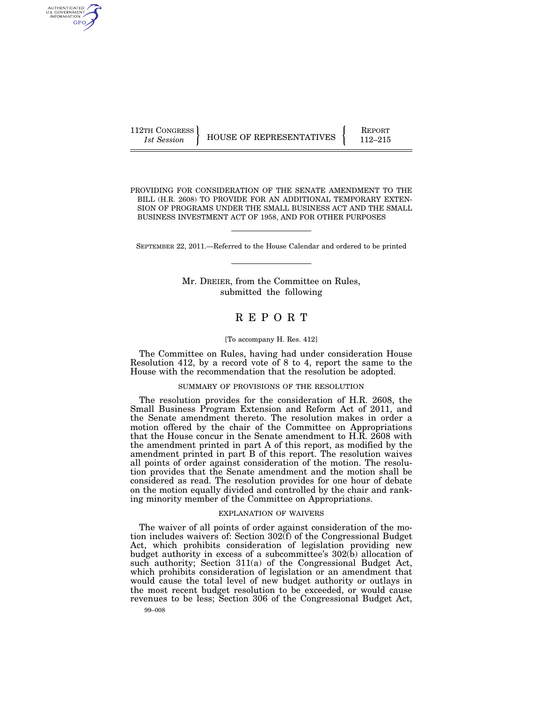112TH CONGRESS HOUSE OF REPRESENTATIVES **REPORT** 112–215

AUTHENTICATED U.S. GOVERNMENT GPO

PROVIDING FOR CONSIDERATION OF THE SENATE AMENDMENT TO THE BILL (H.R. 2608) TO PROVIDE FOR AN ADDITIONAL TEMPORARY EXTEN-SION OF PROGRAMS UNDER THE SMALL BUSINESS ACT AND THE SMALL BUSINESS INVESTMENT ACT OF 1958, AND FOR OTHER PURPOSES

SEPTEMBER 22, 2011.—Referred to the House Calendar and ordered to be printed

Mr. DREIER, from the Committee on Rules, submitted the following

# R E P O R T

#### [To accompany H. Res. 412]

The Committee on Rules, having had under consideration House Resolution 412, by a record vote of 8 to 4, report the same to the House with the recommendation that the resolution be adopted.

## SUMMARY OF PROVISIONS OF THE RESOLUTION

The resolution provides for the consideration of H.R. 2608, the Small Business Program Extension and Reform Act of 2011, and the Senate amendment thereto. The resolution makes in order a motion offered by the chair of the Committee on Appropriations that the House concur in the Senate amendment to H.R. 2608 with the amendment printed in part A of this report, as modified by the amendment printed in part B of this report. The resolution waives all points of order against consideration of the motion. The resolution provides that the Senate amendment and the motion shall be considered as read. The resolution provides for one hour of debate on the motion equally divided and controlled by the chair and ranking minority member of the Committee on Appropriations.

### EXPLANATION OF WAIVERS

The waiver of all points of order against consideration of the motion includes waivers of: Section 302(f) of the Congressional Budget Act, which prohibits consideration of legislation providing new budget authority in excess of a subcommittee's 302(b) allocation of such authority; Section 311(a) of the Congressional Budget Act, which prohibits consideration of legislation or an amendment that would cause the total level of new budget authority or outlays in the most recent budget resolution to be exceeded, or would cause revenues to be less; Section 306 of the Congressional Budget Act,

99–008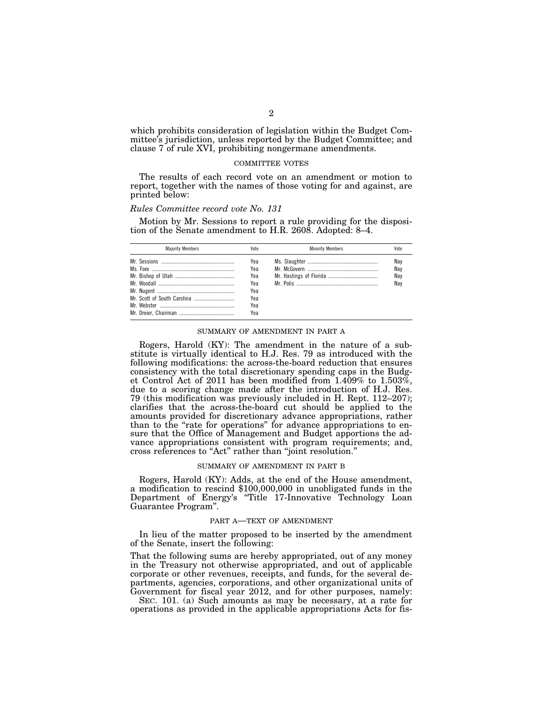which prohibits consideration of legislation within the Budget Committee's jurisdiction, unless reported by the Budget Committee; and clause 7 of rule XVI, prohibiting nongermane amendments.

### COMMITTEE VOTES

The results of each record vote on an amendment or motion to report, together with the names of those voting for and against, are printed below:

#### *Rules Committee record vote No. 131*

Motion by Mr. Sessions to report a rule providing for the disposition of the Senate amendment to H.R. 2608. Adopted: 8–4.

| <b>Maiority Members</b> | Vote | <b>Minority Members</b> | Vote |
|-------------------------|------|-------------------------|------|
|                         | Yea  |                         | Nav  |
|                         | Yea  |                         | Nay  |
|                         | Yea  |                         | Nay  |
|                         | Yea  |                         | Nay  |
|                         | Yea  |                         |      |
|                         | Yea  |                         |      |
|                         | Yea  |                         |      |
|                         | Yea  |                         |      |

#### SUMMARY OF AMENDMENT IN PART A

Rogers, Harold (KY): The amendment in the nature of a substitute is virtually identical to H.J. Res. 79 as introduced with the following modifications: the across-the-board reduction that ensures consistency with the total discretionary spending caps in the Budget Control Act of 2011 has been modified from 1.409% to 1.503%, due to a scoring change made after the introduction of H.J. Res. 79 (this modification was previously included in H. Rept. 112–207); clarifies that the across-the-board cut should be applied to the amounts provided for discretionary advance appropriations, rather than to the "rate for operations" for advance appropriations to ensure that the Office of Management and Budget apportions the advance appropriations consistent with program requirements; and, cross references to ''Act'' rather than ''joint resolution.''

#### SUMMARY OF AMENDMENT IN PART B

Rogers, Harold (KY): Adds, at the end of the House amendment, a modification to rescind \$100,000,000 in unobligated funds in the Department of Energy's ''Title 17-Innovative Technology Loan Guarantee Program''.

#### PART A—TEXT OF AMENDMENT

In lieu of the matter proposed to be inserted by the amendment of the Senate, insert the following:

That the following sums are hereby appropriated, out of any money in the Treasury not otherwise appropriated, and out of applicable corporate or other revenues, receipts, and funds, for the several departments, agencies, corporations, and other organizational units of Government for fiscal year 2012, and for other purposes, namely:

SEC. 101. (a) Such amounts as may be necessary, at a rate for operations as provided in the applicable appropriations Acts for fis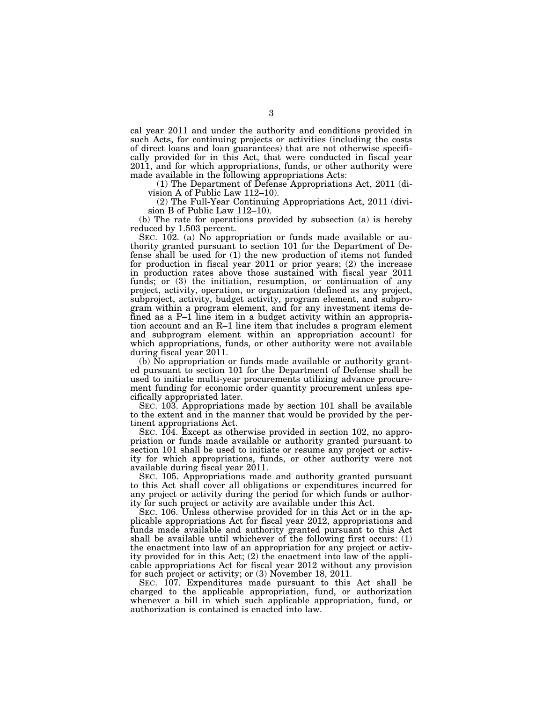cal year 2011 and under the authority and conditions provided in such Acts, for continuing projects or activities (including the costs of direct loans and loan guarantees) that are not otherwise specifically provided for in this Act, that were conducted in fiscal year 2011, and for which appropriations, funds, or other authority were made available in the following appropriations Acts:

(1) The Department of Defense Appropriations Act, 2011 (division A of Public Law 112–10).

(2) The Full-Year Continuing Appropriations Act, 2011 (division B of Public Law 112–10).

(b) The rate for operations provided by subsection (a) is hereby reduced by 1.503 percent.

SEC.  $102$ . (a) No appropriation or funds made available or authority granted pursuant to section 101 for the Department of Defense shall be used for (1) the new production of items not funded for production in fiscal year 2011 or prior years; (2) the increase in production rates above those sustained with fiscal year 2011 funds; or  $(3)$  the initiation, resumption, or continuation of any project, activity, operation, or organization (defined as any project, subproject, activity, budget activity, program element, and subprogram within a program element, and for any investment items defined as a P–1 line item in a budget activity within an appropriation account and an R–1 line item that includes a program element and subprogram element within an appropriation account) for which appropriations, funds, or other authority were not available during fiscal year 2011.

(b) No appropriation or funds made available or authority granted pursuant to section 101 for the Department of Defense shall be used to initiate multi-year procurements utilizing advance procurement funding for economic order quantity procurement unless specifically appropriated later.

SEC. 103. Appropriations made by section 101 shall be available to the extent and in the manner that would be provided by the pertinent appropriations Act.

SEC. 104. Except as otherwise provided in section 102, no appropriation or funds made available or authority granted pursuant to section 101 shall be used to initiate or resume any project or activity for which appropriations, funds, or other authority were not available during fiscal year 2011.

SEC. 105. Appropriations made and authority granted pursuant to this Act shall cover all obligations or expenditures incurred for any project or activity during the period for which funds or authority for such project or activity are available under this Act.

SEC. 106. Unless otherwise provided for in this Act or in the applicable appropriations Act for fiscal year 2012, appropriations and funds made available and authority granted pursuant to this Act shall be available until whichever of the following first occurs: (1) the enactment into law of an appropriation for any project or activity provided for in this Act; (2) the enactment into law of the applicable appropriations Act for fiscal year 2012 without any provision for such project or activity; or (3) November 18, 2011.

SEC. 107. Expenditures made pursuant to this Act shall be charged to the applicable appropriation, fund, or authorization whenever a bill in which such applicable appropriation, fund, or authorization is contained is enacted into law.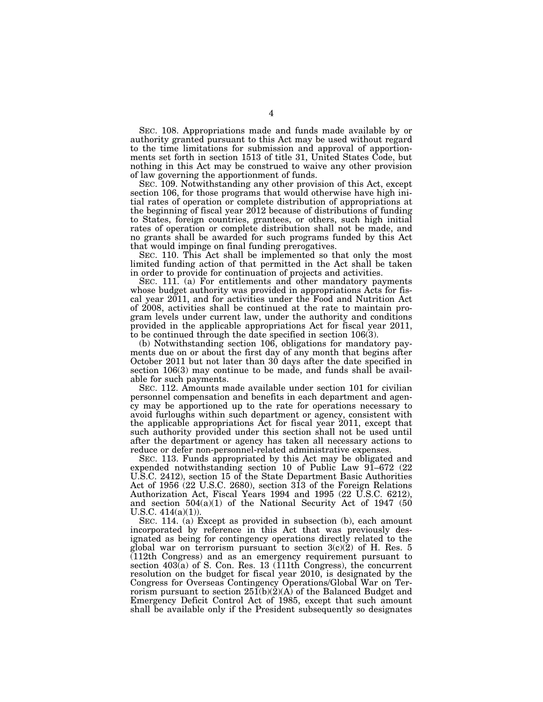SEC. 108. Appropriations made and funds made available by or authority granted pursuant to this Act may be used without regard to the time limitations for submission and approval of apportionments set forth in section 1513 of title 31, United States Code, but nothing in this Act may be construed to waive any other provision of law governing the apportionment of funds.

SEC. 109. Notwithstanding any other provision of this Act, except section 106, for those programs that would otherwise have high initial rates of operation or complete distribution of appropriations at the beginning of fiscal year 2012 because of distributions of funding to States, foreign countries, grantees, or others, such high initial rates of operation or complete distribution shall not be made, and no grants shall be awarded for such programs funded by this Act that would impinge on final funding prerogatives.

SEC. 110. This Act shall be implemented so that only the most limited funding action of that permitted in the Act shall be taken in order to provide for continuation of projects and activities.

SEC. 111. (a) For entitlements and other mandatory payments whose budget authority was provided in appropriations Acts for fiscal year 2011, and for activities under the Food and Nutrition Act of 2008, activities shall be continued at the rate to maintain program levels under current law, under the authority and conditions provided in the applicable appropriations Act for fiscal year 2011, to be continued through the date specified in section 106(3).

(b) Notwithstanding section 106, obligations for mandatory payments due on or about the first day of any month that begins after October 2011 but not later than 30 days after the date specified in section 106(3) may continue to be made, and funds shall be available for such payments.

SEC. 112. Amounts made available under section 101 for civilian personnel compensation and benefits in each department and agency may be apportioned up to the rate for operations necessary to avoid furloughs within such department or agency, consistent with the applicable appropriations Act for fiscal year 2011, except that such authority provided under this section shall not be used until after the department or agency has taken all necessary actions to reduce or defer non-personnel-related administrative expenses.

SEC. 113. Funds appropriated by this Act may be obligated and expended notwithstanding section 10 of Public Law 91–672 (22 U.S.C. 2412), section 15 of the State Department Basic Authorities Act of 1956 (22 U.S.C. 2680), section 313 of the Foreign Relations Authorization Act, Fiscal Years 1994 and 1995 (22 U.S.C. 6212), and section 504(a)(1) of the National Security Act of 1947 (50 U.S.C.  $414(a)(1)$ .

SEC. 114. (a) Except as provided in subsection (b), each amount incorporated by reference in this Act that was previously designated as being for contingency operations directly related to the global war on terrorism pursuant to section 3(c)(2) of H. Res. 5 (112th Congress) and as an emergency requirement pursuant to section 403(a) of S. Con. Res. 13 (111th Congress), the concurrent resolution on the budget for fiscal year 2010, is designated by the Congress for Overseas Contingency Operations/Global War on Terrorism pursuant to section  $25I(b)(2)(A)$  of the Balanced Budget and Emergency Deficit Control Act of 1985, except that such amount shall be available only if the President subsequently so designates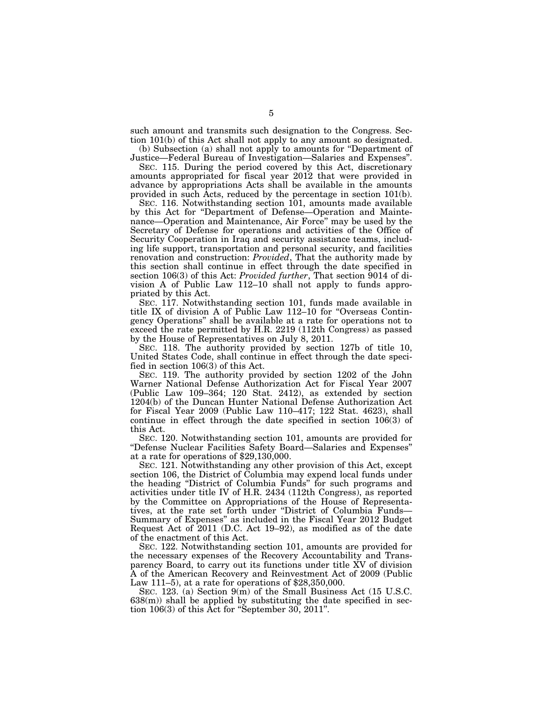such amount and transmits such designation to the Congress. Section 101(b) of this Act shall not apply to any amount so designated.

(b) Subsection (a) shall not apply to amounts for ''Department of Justice—Federal Bureau of Investigation—Salaries and Expenses''.

SEC. 115. During the period covered by this Act, discretionary amounts appropriated for fiscal year 2012 that were provided in advance by appropriations Acts shall be available in the amounts provided in such Acts, reduced by the percentage in section 101(b).

SEC. 116. Notwithstanding section 101, amounts made available by this Act for ''Department of Defense—Operation and Maintenance—Operation and Maintenance, Air Force'' may be used by the Secretary of Defense for operations and activities of the Office of Security Cooperation in Iraq and security assistance teams, including life support, transportation and personal security, and facilities renovation and construction: *Provided*, That the authority made by this section shall continue in effect through the date specified in section 106(3) of this Act: *Provided further*, That section 9014 of division A of Public Law 112–10 shall not apply to funds appropriated by this Act.

SEC. 117. Notwithstanding section 101, funds made available in title IX of division A of Public Law 112–10 for ''Overseas Contingency Operations'' shall be available at a rate for operations not to exceed the rate permitted by H.R. 2219 (112th Congress) as passed by the House of Representatives on July 8, 2011.

SEC. 118. The authority provided by section 127b of title 10, United States Code, shall continue in effect through the date specified in section 106(3) of this Act.

SEC. 119. The authority provided by section 1202 of the John Warner National Defense Authorization Act for Fiscal Year 2007 (Public Law 109–364; 120 Stat. 2412), as extended by section 1204(b) of the Duncan Hunter National Defense Authorization Act for Fiscal Year 2009 (Public Law 110–417; 122 Stat. 4623), shall continue in effect through the date specified in section 106(3) of this Act.

SEC. 120. Notwithstanding section 101, amounts are provided for ''Defense Nuclear Facilities Safety Board—Salaries and Expenses'' at a rate for operations of \$29,130,000.

SEC. 121. Notwithstanding any other provision of this Act, except section 106, the District of Columbia may expend local funds under the heading ''District of Columbia Funds'' for such programs and activities under title IV of H.R. 2434 (112th Congress), as reported by the Committee on Appropriations of the House of Representatives, at the rate set forth under ''District of Columbia Funds— Summary of Expenses'' as included in the Fiscal Year 2012 Budget Request Act of 2011 (D.C. Act 19–92), as modified as of the date of the enactment of this Act.

SEC. 122. Notwithstanding section 101, amounts are provided for the necessary expenses of the Recovery Accountability and Transparency Board, to carry out its functions under title XV of division A of the American Recovery and Reinvestment Act of 2009 (Public Law 111–5), at a rate for operations of \$28,350,000.

SEC. 123. (a) Section 9(m) of the Small Business Act (15 U.S.C.  $638(m)$  shall be applied by substituting the date specified in section  $106(3)$  of this Act for "September 30, 2011".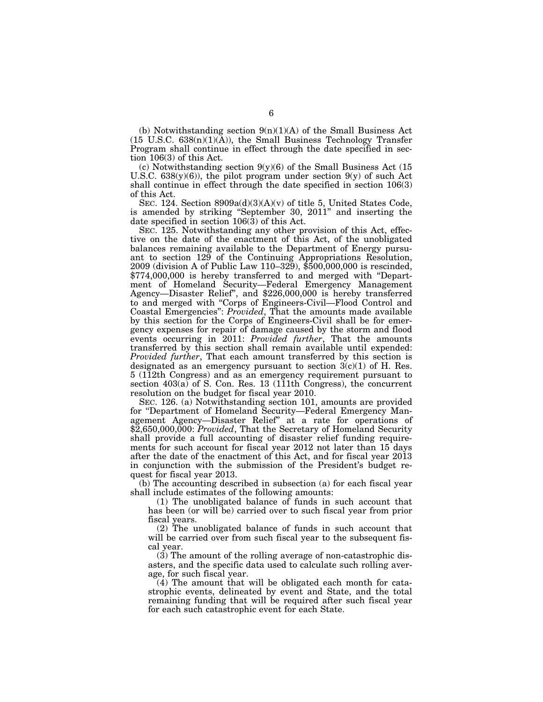(b) Notwithstanding section  $9(n)(1)(A)$  of the Small Business Act  $(15 \text{ U.S.C. } 638(n)(1)(\text{\AA}))$ , the Small Business Technology Transfer Program shall continue in effect through the date specified in section 106(3) of this Act.

(c) Notwithstanding section 9(y)(6) of the Small Business Act (15 U.S.C.  $638(y)(6)$ , the pilot program under section  $9(y)$  of such Act shall continue in effect through the date specified in section 106(3) of this Act.

SEC. 124. Section  $8909a(d)(3)(A)(v)$  of title 5, United States Code, is amended by striking ''September 30, 2011'' and inserting the date specified in section  $106(\overline{3})$  of this Act.

SEC. 125. Notwithstanding any other provision of this Act, effective on the date of the enactment of this Act, of the unobligated balances remaining available to the Department of Energy pursuant to section 129 of the Continuing Appropriations Resolution, 2009 (division A of Public Law 110–329), \$500,000,000 is rescinded, \$774,000,000 is hereby transferred to and merged with ''Department of Homeland Security—Federal Emergency Management Agency—Disaster Relief'', and \$226,000,000 is hereby transferred to and merged with ''Corps of Engineers-Civil—Flood Control and Coastal Emergencies'': *Provided*, That the amounts made available by this section for the Corps of Engineers-Civil shall be for emergency expenses for repair of damage caused by the storm and flood events occurring in 2011: *Provided further*, That the amounts transferred by this section shall remain available until expended: *Provided further*, That each amount transferred by this section is designated as an emergency pursuant to section  $3(c)(1)$  of H. Res. 5 (112th Congress) and as an emergency requirement pursuant to section 403(a) of S. Con. Res. 13 (111th Congress), the concurrent resolution on the budget for fiscal year 2010.

SEC. 126. (a) Notwithstanding section 101, amounts are provided for ''Department of Homeland Security—Federal Emergency Management Agency—Disaster Relief'' at a rate for operations of \$2,650,000,000: *Provided*, That the Secretary of Homeland Security shall provide a full accounting of disaster relief funding requirements for such account for fiscal year 2012 not later than 15 days after the date of the enactment of this Act, and for fiscal year 2013 in conjunction with the submission of the President's budget request for fiscal year 2013.

(b) The accounting described in subsection (a) for each fiscal year shall include estimates of the following amounts:

(1) The unobligated balance of funds in such account that has been (or will be) carried over to such fiscal year from prior fiscal years.

(2) The unobligated balance of funds in such account that will be carried over from such fiscal year to the subsequent fiscal year.

(3) The amount of the rolling average of non-catastrophic disasters, and the specific data used to calculate such rolling average, for such fiscal year.

(4) The amount that will be obligated each month for catastrophic events, delineated by event and State, and the total remaining funding that will be required after such fiscal year for each such catastrophic event for each State.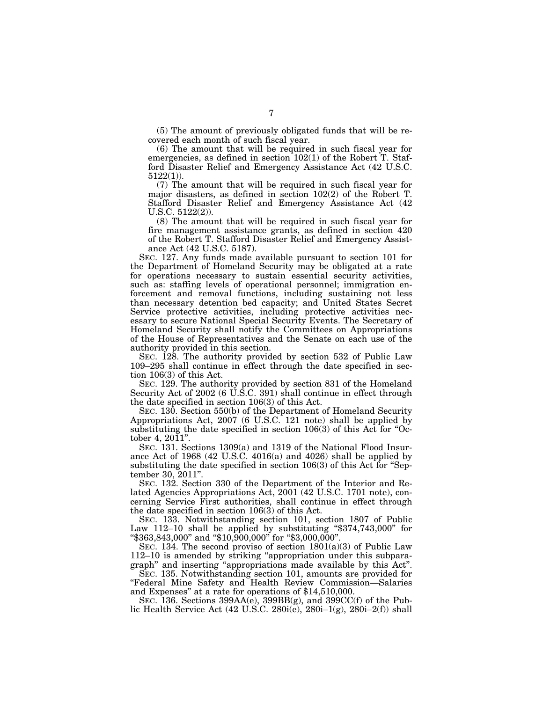(5) The amount of previously obligated funds that will be recovered each month of such fiscal year.

(6) The amount that will be required in such fiscal year for emergencies, as defined in section 102(1) of the Robert T. Stafford Disaster Relief and Emergency Assistance Act (42 U.S.C. 5122(1)).

(7) The amount that will be required in such fiscal year for major disasters, as defined in section 102(2) of the Robert T. Stafford Disaster Relief and Emergency Assistance Act (42 U.S.C. 5122(2)).

(8) The amount that will be required in such fiscal year for fire management assistance grants, as defined in section 420 of the Robert T. Stafford Disaster Relief and Emergency Assistance Act (42 U.S.C. 5187).

SEC. 127. Any funds made available pursuant to section 101 for the Department of Homeland Security may be obligated at a rate for operations necessary to sustain essential security activities, such as: staffing levels of operational personnel; immigration enforcement and removal functions, including sustaining not less than necessary detention bed capacity; and United States Secret Service protective activities, including protective activities necessary to secure National Special Security Events. The Secretary of Homeland Security shall notify the Committees on Appropriations of the House of Representatives and the Senate on each use of the authority provided in this section.

SEC. 128. The authority provided by section 532 of Public Law 109–295 shall continue in effect through the date specified in section 106(3) of this Act.

SEC. 129. The authority provided by section 831 of the Homeland Security Act of 2002 (6 U.S.C. 391) shall continue in effect through the date specified in section 106(3) of this Act.

SEC. 130. Section 550(b) of the Department of Homeland Security Appropriations Act, 2007 (6 U.S.C. 121 note) shall be applied by substituting the date specified in section  $106(3)$  of this Act for "October 4,  $2011$ ".

SEC. 131. Sections 1309(a) and 1319 of the National Flood Insurance Act of 1968 (42 U.S.C. 4016(a) and 4026) shall be applied by substituting the date specified in section 106(3) of this Act for "September 30, 2011''.

SEC. 132. Section 330 of the Department of the Interior and Related Agencies Appropriations Act, 2001 (42 U.S.C. 1701 note), concerning Service First authorities, shall continue in effect through the date specified in section 106(3) of this Act.

SEC. 133. Notwithstanding section 101, section 1807 of Public Law 112–10 shall be applied by substituting ''\$374,743,000'' for ''\$363,843,000'' and ''\$10,900,000'' for ''\$3,000,000''.

SEC. 134. The second proviso of section  $1801(a)(3)$  of Public Law 112–10 is amended by striking ''appropriation under this subparagraph'' and inserting ''appropriations made available by this Act''.

SEC. 135. Notwithstanding section 101, amounts are provided for ''Federal Mine Safety and Health Review Commission—Salaries and Expenses'' at a rate for operations of \$14,510,000.

SEC. 136. Sections  $399AA(e)$ ,  $399BB(g)$ , and  $399CC(f)$  of the Public Health Service Act (42 U.S.C. 280i(e), 280i–1(g), 280i–2(f)) shall